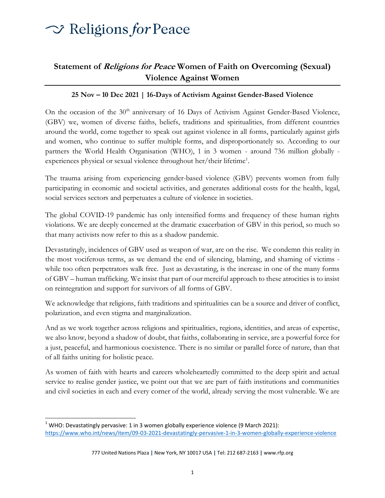## $\sim$  Religions for Peace

### **Statement of Religions for Peace Women of Faith on Overcoming (Sexual) Violence Against Women**

#### **25 Nov – 10 Dec 2021 | 16-Days of Activism Against Gender-Based Violence**

On the occasion of the 30<sup>th</sup> anniversary of 16 Days of Activism Against Gender-Based Violence, (GBV) we, women of diverse faiths, beliefs, traditions and spiritualities, from different countries around the world, come together to speak out against violence in all forms, particularly against girls and women, who continue to suffer multiple forms, and disproportionately so. According to our partners the World Health Organisation (WHO), 1 in 3 women - around 736 million globally experiences physical or sexual violence throughout her/their lifetime<sup>1</sup>.

The trauma arising from experiencing gender-based violence (GBV) prevents women from fully participating in economic and societal activities, and generates additional costs for the health, legal, social services sectors and perpetuates a culture of violence in societies.

The global COVID-19 pandemic has only intensified forms and frequency of these human rights violations. We are deeply concerned at the dramatic exacerbation of GBV in this period, so much so that many activists now refer to this as a shadow pandemic.

Devastatingly, incidences of GBV used as weapon of war, are on the rise. We condemn this reality in the most vociferous terms, as we demand the end of silencing, blaming, and shaming of victims while too often perpetrators walk free. Just as devastating, is the increase in one of the many forms of GBV – human trafficking. We insist that part of our merciful approach to these atrocities is to insist on reintegration and support for survivors of all forms of GBV.

We acknowledge that religions, faith traditions and spiritualities can be a source and driver of conflict, polarization, and even stigma and marginalization.

And as we work together across religions and spiritualities, regions, identities, and areas of expertise, we also know, beyond a shadow of doubt, that faiths, collaborating in service, are a powerful force for a just, peaceful, and harmonious coexistence. There is no similar or parallel force of nature, than that of all faiths uniting for holistic peace.

As women of faith with hearts and careers wholeheartedly committed to the deep spirit and actual service to realise gender justice, we point out that we are part of faith institutions and communities and civil societies in each and every corner of the world, already serving the most vulnerable. We are

 $1$  WHO: Devastatingly pervasive: 1 in 3 women globally experience violence (9 March 2021): <https://www.who.int/news/item/09-03-2021-devastatingly-pervasive-1-in-3-women-globally-experience-violence>

<sup>777</sup> United Nations Plaza **|** New York, NY 10017 USA **|** Tel: 212 687-2163 **|** www.rfp.org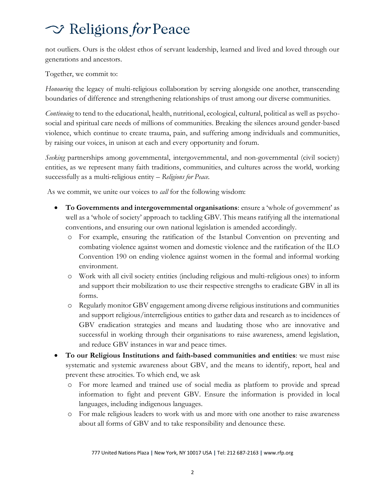# $\sim$  Religions for Peace

not outliers. Ours is the oldest ethos of servant leadership, learned and lived and loved through our generations and ancestors.

Together, we commit to:

*Honouring* the legacy of multi-religious collaboration by serving alongside one another, transcending boundaries of difference and strengthening relationships of trust among our diverse communities.

*Continuing* to tend to the educational, health, nutritional, ecological, cultural, political as well as psychosocial and spiritual care needs of millions of communities. Breaking the silences around gender-based violence, which continue to create trauma, pain, and suffering among individuals and communities, by raising our voices, in unison at each and every opportunity and forum.

*Seeking* partnerships among governmental, intergovernmental, and non-governmental (civil society) entities, as we represent many faith traditions, communities, and cultures across the world, working successfully as a multi-religious entity – *Religions for Peace.*

As we commit, we unite our voices to *call* for the following wisdom:

- **To Governments and intergovernmental organisations**: ensure a 'whole of government' as well as a 'whole of society' approach to tackling GBV. This means ratifying all the international conventions, and ensuring our own national legislation is amended accordingly.
	- o For example, ensuring the ratification of the Istanbul Convention on preventing and combating violence against women and domestic violence and the ratification of the ILO Convention 190 on ending violence against women in the formal and informal working environment.
	- o Work with all civil society entities (including religious and multi-religious ones) to inform and support their mobilization to use their respective strengths to eradicate GBV in all its forms.
	- o Regularly monitor GBV engagement among diverse religious institutions and communities and support religious/interreligious entities to gather data and research as to incidences of GBV eradication strategies and means and laudating those who are innovative and successful in working through their organisations to raise awareness, amend legislation, and reduce GBV instances in war and peace times.
- **To our Religious Institutions and faith-based communities and entities**: we must raise systematic and systemic awareness about GBV, and the means to identify, report, heal and prevent these atrocities. To which end, we ask
	- o For more learned and trained use of social media as platform to provide and spread information to fight and prevent GBV. Ensure the information is provided in local languages, including indigenous languages.
	- o For male religious leaders to work with us and more with one another to raise awareness about all forms of GBV and to take responsibility and denounce these.